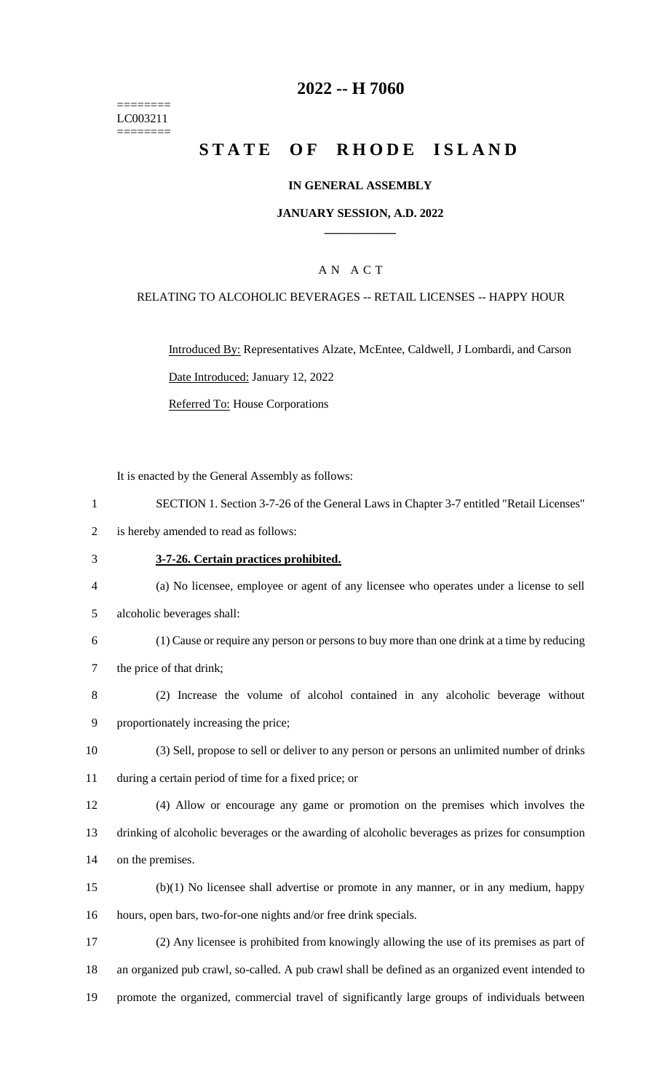======== LC003211 ========

## **-- H 7060**

# **STATE OF RHODE ISLAND**

#### **IN GENERAL ASSEMBLY**

#### **JANUARY SESSION, A.D. 2022 \_\_\_\_\_\_\_\_\_\_\_\_**

### A N A C T

#### RELATING TO ALCOHOLIC BEVERAGES -- RETAIL LICENSES -- HAPPY HOUR

Introduced By: Representatives Alzate, McEntee, Caldwell, J Lombardi, and Carson Date Introduced: January 12, 2022 Referred To: House Corporations

It is enacted by the General Assembly as follows:

- SECTION 1. Section 3-7-26 of the General Laws in Chapter 3-7 entitled "Retail Licenses"
- is hereby amended to read as follows:
- **3-7-26. Certain practices prohibited.**
- (a) No licensee, employee or agent of any licensee who operates under a license to sell
- alcoholic beverages shall:
- (1) Cause or require any person or persons to buy more than one drink at a time by reducing the price of that drink;
- (2) Increase the volume of alcohol contained in any alcoholic beverage without proportionately increasing the price;
- (3) Sell, propose to sell or deliver to any person or persons an unlimited number of drinks during a certain period of time for a fixed price; or
- (4) Allow or encourage any game or promotion on the premises which involves the drinking of alcoholic beverages or the awarding of alcoholic beverages as prizes for consumption on the premises.
- (b)(1) No licensee shall advertise or promote in any manner, or in any medium, happy hours, open bars, two-for-one nights and/or free drink specials.
- (2) Any licensee is prohibited from knowingly allowing the use of its premises as part of an organized pub crawl, so-called. A pub crawl shall be defined as an organized event intended to promote the organized, commercial travel of significantly large groups of individuals between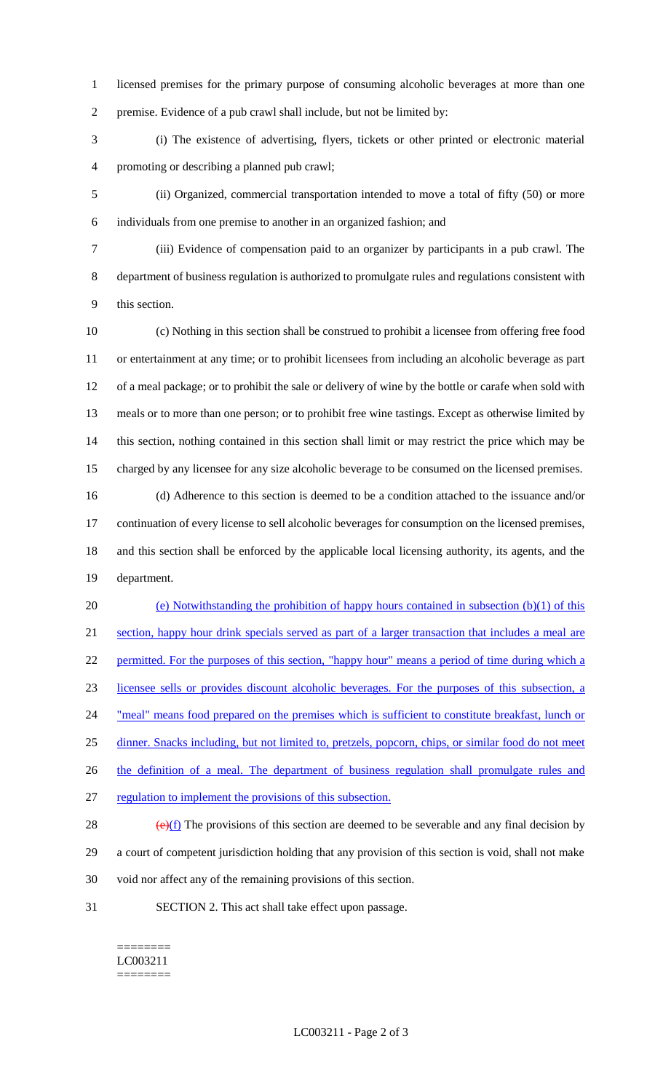licensed premises for the primary purpose of consuming alcoholic beverages at more than one premise. Evidence of a pub crawl shall include, but not be limited by:

 (i) The existence of advertising, flyers, tickets or other printed or electronic material promoting or describing a planned pub crawl;

 (ii) Organized, commercial transportation intended to move a total of fifty (50) or more individuals from one premise to another in an organized fashion; and

 (iii) Evidence of compensation paid to an organizer by participants in a pub crawl. The department of business regulation is authorized to promulgate rules and regulations consistent with this section.

 (c) Nothing in this section shall be construed to prohibit a licensee from offering free food or entertainment at any time; or to prohibit licensees from including an alcoholic beverage as part of a meal package; or to prohibit the sale or delivery of wine by the bottle or carafe when sold with meals or to more than one person; or to prohibit free wine tastings. Except as otherwise limited by this section, nothing contained in this section shall limit or may restrict the price which may be charged by any licensee for any size alcoholic beverage to be consumed on the licensed premises.

 (d) Adherence to this section is deemed to be a condition attached to the issuance and/or continuation of every license to sell alcoholic beverages for consumption on the licensed premises, and this section shall be enforced by the applicable local licensing authority, its agents, and the department.

 (e) Notwithstanding the prohibition of happy hours contained in subsection (b)(1) of this section, happy hour drink specials served as part of a larger transaction that includes a meal are 22 permitted. For the purposes of this section, "happy hour" means a period of time during which a licensee sells or provides discount alcoholic beverages. For the purposes of this subsection, a 24 "meal" means food prepared on the premises which is sufficient to constitute breakfast, lunch or dinner. Snacks including, but not limited to, pretzels, popcorn, chips, or similar food do not meet 26 the definition of a meal. The department of business regulation shall promulgate rules and regulation to implement the provisions of this subsection.

28  $\left(\frac{e}{f}\right)$  The provisions of this section are deemed to be severable and any final decision by a court of competent jurisdiction holding that any provision of this section is void, shall not make void nor affect any of the remaining provisions of this section.

SECTION 2. This act shall take effect upon passage.

======== LC003211 ========